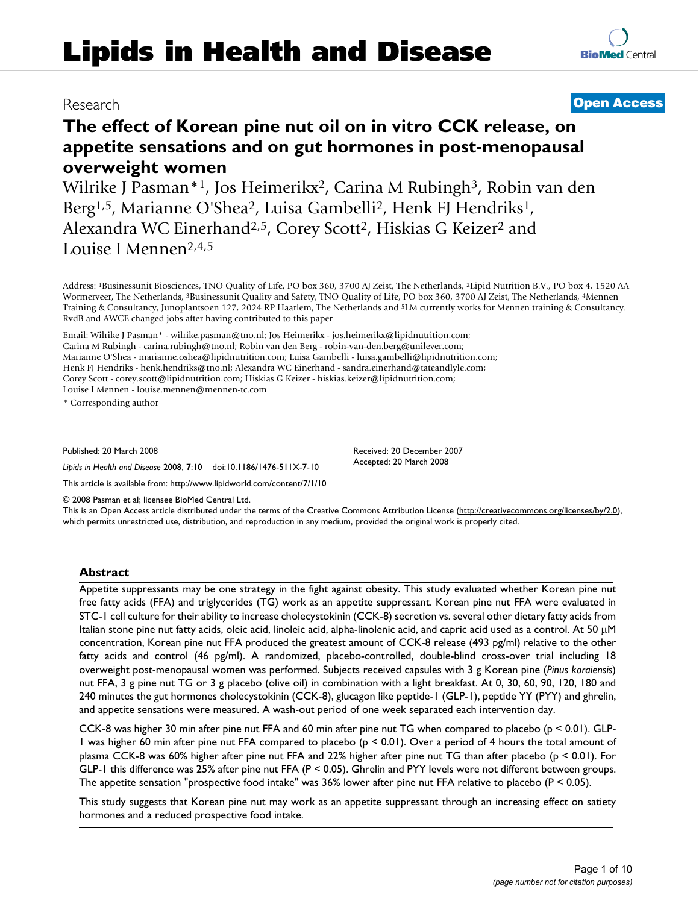# **The effect of Korean pine nut oil on in vitro CCK release, on appetite sensations and on gut hormones in post-menopausal overweight women**

Wilrike J Pasman\*<sup>1</sup>, Jos Heimerikx<sup>2</sup>, Carina M Rubingh<sup>3</sup>, Robin van den Berg<sup>1,5</sup>, Marianne O'Shea<sup>2</sup>, Luisa Gambelli<sup>2</sup>, Henk FJ Hendriks<sup>1</sup>, Alexandra WC Einerhand<sup>2,5</sup>, Corey Scott<sup>2</sup>, Hiskias G Keizer<sup>2</sup> and Louise I Mennen2,4,5

Address: 1Businessunit Biosciences, TNO Quality of Life, PO box 360, 3700 AJ Zeist, The Netherlands, 2Lipid Nutrition B.V., PO box 4, 1520 AA Wormerveer, The Netherlands, 3Businessunit Quality and Safety, TNO Quality of Life, PO box 360, 3700 AJ Zeist, The Netherlands, 4Mennen Training & Consultancy, Junoplantsoen 127, 2024 RP Haarlem, The Netherlands and 5LM currently works for Mennen training & Consultancy. RvdB and AWCE changed jobs after having contributed to this paper

Email: Wilrike J Pasman\* - wilrike.pasman@tno.nl; Jos Heimerikx - jos.heimerikx@lipidnutrition.com; Carina M Rubingh - carina.rubingh@tno.nl; Robin van den Berg - robin-van-den.berg@unilever.com; Marianne O'Shea - marianne.oshea@lipidnutrition.com; Luisa Gambelli - luisa.gambelli@lipidnutrition.com; Henk FJ Hendriks - henk.hendriks@tno.nl; Alexandra WC Einerhand - sandra.einerhand@tateandlyle.com; Corey Scott - corey.scott@lipidnutrition.com; Hiskias G Keizer - hiskias.keizer@lipidnutrition.com; Louise I Mennen - louise.mennen@mennen-tc.com

\* Corresponding author

Published: 20 March 2008

*Lipids in Health and Disease* 2008, **7**:10 doi:10.1186/1476-511X-7-10

[This article is available from: http://www.lipidworld.com/content/7/1/10](http://www.lipidworld.com/content/7/1/10)

© 2008 Pasman et al; licensee BioMed Central Ltd.

This is an Open Access article distributed under the terms of the Creative Commons Attribution License [\(http://creativecommons.org/licenses/by/2.0\)](http://creativecommons.org/licenses/by/2.0), which permits unrestricted use, distribution, and reproduction in any medium, provided the original work is properly cited.

Received: 20 December 2007 Accepted: 20 March 2008

#### **Abstract**

Appetite suppressants may be one strategy in the fight against obesity. This study evaluated whether Korean pine nut free fatty acids (FFA) and triglycerides (TG) work as an appetite suppressant. Korean pine nut FFA were evaluated in STC-1 cell culture for their ability to increase cholecystokinin (CCK-8) secretion vs. several other dietary fatty acids from Italian stone pine nut fatty acids, oleic acid, linoleic acid, alpha-linolenic acid, and capric acid used as a control. At 50 μM concentration, Korean pine nut FFA produced the greatest amount of CCK-8 release (493 pg/ml) relative to the other fatty acids and control (46 pg/ml). A randomized, placebo-controlled, double-blind cross-over trial including 18 overweight post-menopausal women was performed. Subjects received capsules with 3 g Korean pine (*Pinus koraiensis*) nut FFA, 3 g pine nut TG or 3 g placebo (olive oil) in combination with a light breakfast. At 0, 30, 60, 90, 120, 180 and 240 minutes the gut hormones cholecystokinin (CCK-8), glucagon like peptide-1 (GLP-1), peptide YY (PYY) and ghrelin, and appetite sensations were measured. A wash-out period of one week separated each intervention day.

CCK-8 was higher 30 min after pine nut FFA and 60 min after pine nut TG when compared to placebo (p < 0.01). GLP-1 was higher 60 min after pine nut FFA compared to placebo (p < 0.01). Over a period of 4 hours the total amount of plasma CCK-8 was 60% higher after pine nut FFA and 22% higher after pine nut TG than after placebo (p < 0.01). For GLP-1 this difference was 25% after pine nut FFA (P < 0.05). Ghrelin and PYY levels were not different between groups. The appetite sensation "prospective food intake" was 36% lower after pine nut FFA relative to placebo (P < 0.05).

This study suggests that Korean pine nut may work as an appetite suppressant through an increasing effect on satiety hormones and a reduced prospective food intake.



# Research **[Open Access](http://www.biomedcentral.com/info/about/charter/)**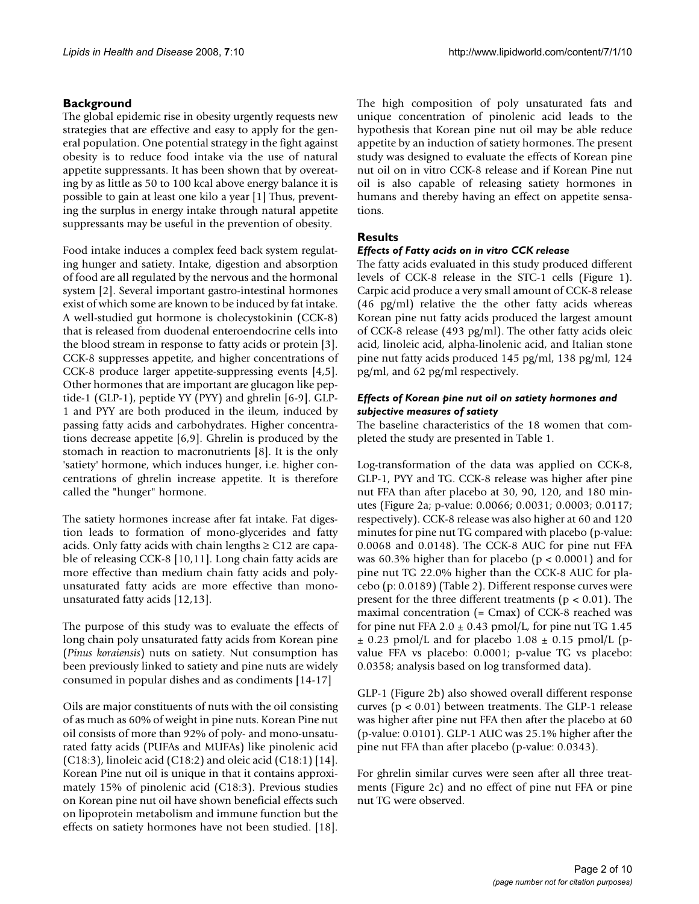# **Background**

The global epidemic rise in obesity urgently requests new strategies that are effective and easy to apply for the general population. One potential strategy in the fight against obesity is to reduce food intake via the use of natural appetite suppressants. It has been shown that by overeating by as little as 50 to 100 kcal above energy balance it is possible to gain at least one kilo a year [1] Thus, preventing the surplus in energy intake through natural appetite suppressants may be useful in the prevention of obesity.

Food intake induces a complex feed back system regulating hunger and satiety. Intake, digestion and absorption of food are all regulated by the nervous and the hormonal system [2]. Several important gastro-intestinal hormones exist of which some are known to be induced by fat intake. A well-studied gut hormone is cholecystokinin (CCK-8) that is released from duodenal enteroendocrine cells into the blood stream in response to fatty acids or protein [3]. CCK-8 suppresses appetite, and higher concentrations of CCK-8 produce larger appetite-suppressing events [4,5]. Other hormones that are important are glucagon like peptide-1 (GLP-1), peptide YY (PYY) and ghrelin [6-9]. GLP-1 and PYY are both produced in the ileum, induced by passing fatty acids and carbohydrates. Higher concentrations decrease appetite [6,9]. Ghrelin is produced by the stomach in reaction to macronutrients [8]. It is the only 'satiety' hormone, which induces hunger, i.e. higher concentrations of ghrelin increase appetite. It is therefore called the "hunger" hormone.

The satiety hormones increase after fat intake. Fat digestion leads to formation of mono-glycerides and fatty acids. Only fatty acids with chain lengths  $\geq$  C12 are capable of releasing CCK-8 [10,11]. Long chain fatty acids are more effective than medium chain fatty acids and polyunsaturated fatty acids are more effective than monounsaturated fatty acids [12,13].

The purpose of this study was to evaluate the effects of long chain poly unsaturated fatty acids from Korean pine (*Pinus koraiensis*) nuts on satiety. Nut consumption has been previously linked to satiety and pine nuts are widely consumed in popular dishes and as condiments [14-17]

Oils are major constituents of nuts with the oil consisting of as much as 60% of weight in pine nuts. Korean Pine nut oil consists of more than 92% of poly- and mono-unsaturated fatty acids (PUFAs and MUFAs) like pinolenic acid (C18:3), linoleic acid (C18:2) and oleic acid (C18:1) [14]. Korean Pine nut oil is unique in that it contains approximately 15% of pinolenic acid (C18:3). Previous studies on Korean pine nut oil have shown beneficial effects such on lipoprotein metabolism and immune function but the effects on satiety hormones have not been studied. [18].

The high composition of poly unsaturated fats and unique concentration of pinolenic acid leads to the hypothesis that Korean pine nut oil may be able reduce appetite by an induction of satiety hormones. The present study was designed to evaluate the effects of Korean pine nut oil on in vitro CCK-8 release and if Korean Pine nut oil is also capable of releasing satiety hormones in humans and thereby having an effect on appetite sensations.

# **Results**

# *Effects of Fatty acids on in vitro CCK release*

The fatty acids evaluated in this study produced different levels of CCK-8 release in the STC-1 cells (Figure 1). Carpic acid produce a very small amount of CCK-8 release (46 pg/ml) relative the the other fatty acids whereas Korean pine nut fatty acids produced the largest amount of CCK-8 release (493 pg/ml). The other fatty acids oleic acid, linoleic acid, alpha-linolenic acid, and Italian stone pine nut fatty acids produced 145 pg/ml, 138 pg/ml, 124 pg/ml, and 62 pg/ml respectively.

### *Effects of Korean pine nut oil on satiety hormones and subjective measures of satiety*

The baseline characteristics of the 18 women that completed the study are presented in Table 1.

Log-transformation of the data was applied on CCK-8, GLP-1, PYY and TG. CCK-8 release was higher after pine nut FFA than after placebo at 30, 90, 120, and 180 minutes (Figure 2a; p-value: 0.0066; 0.0031; 0.0003; 0.0117; respectively). CCK-8 release was also higher at 60 and 120 minutes for pine nut TG compared with placebo (p-value: 0.0068 and 0.0148). The CCK-8 AUC for pine nut FFA was 60.3% higher than for placebo ( $p < 0.0001$ ) and for pine nut TG 22.0% higher than the CCK-8 AUC for placebo (p: 0.0189) (Table 2). Different response curves were present for the three different treatments ( $p < 0.01$ ). The maximal concentration (= Cmax) of CCK-8 reached was for pine nut FFA 2.0  $\pm$  0.43 pmol/L, for pine nut TG 1.45  $\pm$  0.23 pmol/L and for placebo 1.08  $\pm$  0.15 pmol/L (pvalue FFA vs placebo: 0.0001; p-value TG vs placebo: 0.0358; analysis based on log transformed data).

GLP-1 (Figure 2b) also showed overall different response curves ( $p < 0.01$ ) between treatments. The GLP-1 release was higher after pine nut FFA then after the placebo at 60 (p-value: 0.0101). GLP-1 AUC was 25.1% higher after the pine nut FFA than after placebo (p-value: 0.0343).

For ghrelin similar curves were seen after all three treatments (Figure 2c) and no effect of pine nut FFA or pine nut TG were observed.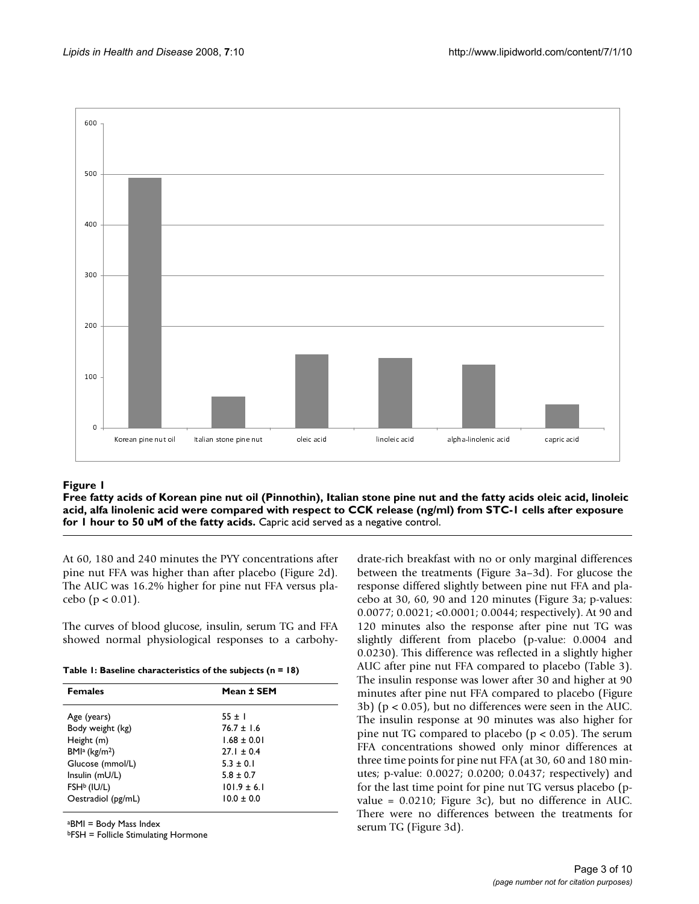

# Free fatty acids of Korean pine nut oil (Pinnothin), Italian st acid were compared with respect to CCK acids **Figure 1** release (ng/ml) from STC-1 cells after e one pine nut and the fatty acids xposure for 1 hour to 50 uM of the fatty oleic acid, linoleic acid, alfa linolenic

**Free fatty acids of Korean pine nut oil (Pinnothin), Italian stone pine nut and the fatty acids oleic acid, linoleic acid, alfa linolenic acid were compared with respect to CCK release (ng/ml) from STC-1 cells after exposure for 1 hour to 50 uM of the fatty acids.** Capric acid served as a negative control.

At 60, 180 and 240 minutes the PYY concentrations after pine nut FFA was higher than after placebo (Figure 2d). The AUC was 16.2% higher for pine nut FFA versus placebo (p < 0.01).

The curves of blood glucose, insulin, serum TG and FFA showed normal physiological responses to a carbohy-

**Table 1: Baseline characteristics of the subjects (n = 18)**

| <b>Females</b>                        | Mean ± SEM      |  |
|---------------------------------------|-----------------|--|
| Age (years)                           | $55 \pm 1$      |  |
| Body weight (kg)                      | $76.7 \pm 1.6$  |  |
| Height (m)                            | $1.68 + 0.01$   |  |
| BMl <sup>a</sup> (kg/m <sup>2</sup> ) | $27.1 \pm 0.4$  |  |
| Glucose (mmol/L)                      | $5.3 + 0.1$     |  |
| Insulin (mU/L)                        | $5.8 \pm 0.7$   |  |
| FSH <sup>b</sup> (IU/L)               | $101.9 \pm 6.1$ |  |
| Oestradiol (pg/mL)                    | $10.0 \pm 0.0$  |  |
|                                       |                 |  |

aBMI = Body Mass Index

bFSH = Follicle Stimulating Hormone

drate-rich breakfast with no or only marginal differences between the treatments (Figure 3a–3d). For glucose the response differed slightly between pine nut FFA and placebo at 30, 60, 90 and 120 minutes (Figure 3a; p-values: 0.0077; 0.0021; <0.0001; 0.0044; respectively). At 90 and 120 minutes also the response after pine nut TG was slightly different from placebo (p-value: 0.0004 and 0.0230). This difference was reflected in a slightly higher AUC after pine nut FFA compared to placebo (Table 3). The insulin response was lower after 30 and higher at 90 minutes after pine nut FFA compared to placebo (Figure 3b) (p < 0.05), but no differences were seen in the AUC. The insulin response at 90 minutes was also higher for pine nut TG compared to placebo ( $p < 0.05$ ). The serum FFA concentrations showed only minor differences at three time points for pine nut FFA (at 30, 60 and 180 minutes; p-value: 0.0027; 0.0200; 0.0437; respectively) and for the last time point for pine nut TG versus placebo (pvalue = 0.0210; Figure 3c), but no difference in AUC. There were no differences between the treatments for serum TG (Figure 3d).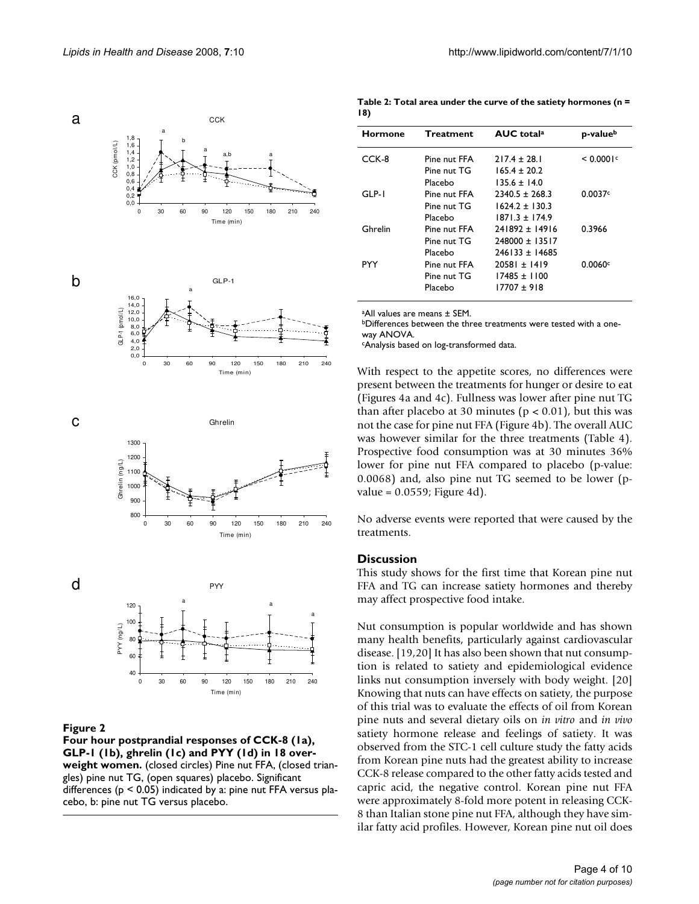





#### Figure 2

**Four hour postprandial responses of CCK-8 (1a), GLP-1 (1b), ghrelin (1c) and PYY (1d) in 18 overweight women.** (closed circles) Pine nut FFA, (closed triangles) pine nut TG, (open squares) placebo. Significant differences ( $p < 0.05$ ) indicated by a: pine nut FFA versus placebo, b: pine nut TG versus placebo.

**Table 2: Total area under the curve of the satiety hormones (n = 18)**

| Hormone | <b>Treatment</b> | <b>AUC</b> total <sup>a</sup> | p-value <sup>b</sup> |
|---------|------------------|-------------------------------|----------------------|
|         |                  |                               |                      |
| CCK-8   | Pine nut FFA     | $217.4 + 28.1$                | < 0.0001c            |
|         | Pine nut TG      | $165.4 \pm 20.2$              |                      |
|         | Placebo          | $135.6 + 14.0$                |                      |
| GLP-1   | Pine nut FFA     | $2340.5 + 268.3$              | 0.0037c              |
|         | Pine nut TG      | $1624.2 + 130.3$              |                      |
|         | Placebo          | $1871.3 + 174.9$              |                      |
| Ghrelin | Pine nut FFA     | $741892 + 14916$              | 0.3966               |
|         | Pine nut TG      | $248000 \pm 13517$            |                      |
|         | Placebo          | $246133 \pm 14685$            |                      |
| PYY     | Pine nut FFA     | $20581 + 1419$                | 0.0060c              |
|         | Pine nut TG      | 17485 ± 1100                  |                      |
|         | Placebo          | 17707 + 918                   |                      |

aAll values are means ± SEM.

bDifferences between the three treatments were tested with a oneway ANOVA.

cAnalysis based on log-transformed data.

With respect to the appetite scores, no differences were present between the treatments for hunger or desire to eat (Figures 4a and 4c). Fullness was lower after pine nut TG than after placebo at 30 minutes ( $p < 0.01$ ), but this was not the case for pine nut FFA (Figure 4b). The overall AUC was however similar for the three treatments (Table 4). Prospective food consumption was at 30 minutes 36% lower for pine nut FFA compared to placebo (p-value: 0.0068) and, also pine nut TG seemed to be lower (pvalue = 0.0559; Figure 4d).

No adverse events were reported that were caused by the treatments.

#### **Discussion**

This study shows for the first time that Korean pine nut FFA and TG can increase satiety hormones and thereby may affect prospective food intake.

Nut consumption is popular worldwide and has shown many health benefits, particularly against cardiovascular disease. [19,20] It has also been shown that nut consumption is related to satiety and epidemiological evidence links nut consumption inversely with body weight. [20] Knowing that nuts can have effects on satiety, the purpose of this trial was to evaluate the effects of oil from Korean pine nuts and several dietary oils on *in vitro* and *in vivo* satiety hormone release and feelings of satiety. It was observed from the STC-1 cell culture study the fatty acids from Korean pine nuts had the greatest ability to increase CCK-8 release compared to the other fatty acids tested and capric acid, the negative control. Korean pine nut FFA were approximately 8-fold more potent in releasing CCK-8 than Italian stone pine nut FFA, although they have similar fatty acid profiles. However, Korean pine nut oil does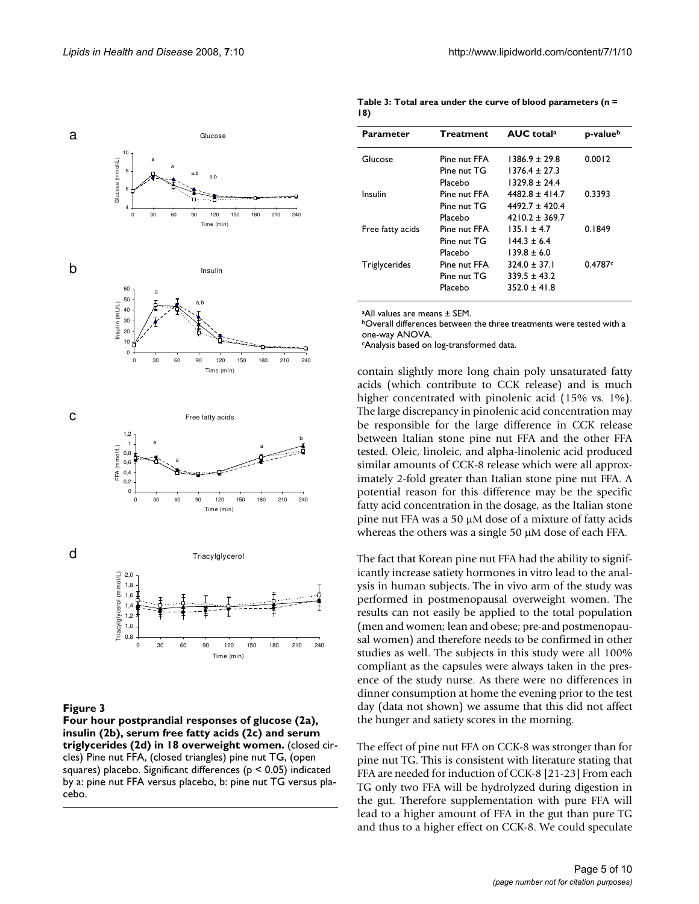

#### Figure 3

**Four hour postprandial responses of glucose (2a), insulin (2b), serum free fatty acids (2c) and serum triglycerides (2d) in 18 overweight women.** (closed circles) Pine nut FFA, (closed triangles) pine nut TG, (open squares) placebo. Significant differences (p < 0.05) indicated by a: pine nut FFA versus placebo, b: pine nut TG versus placebo.

|     |  | Table 3: Total area under the curve of blood parameters ( $n =$ |  |
|-----|--|-----------------------------------------------------------------|--|
| 18) |  |                                                                 |  |

| Parameter        | Treatment    | AUC total <sup>a</sup> | p-value <sup>b</sup> |
|------------------|--------------|------------------------|----------------------|
| Glucose          | Pine nut FFA | $1386.9 + 29.8$        | 0.0012               |
|                  | Pine nut TG  | 1376.4 ± 27.3          |                      |
|                  | Placebo      | $1329.8 + 24.4$        |                      |
| Insulin          | Pine nut FFA | $4482.8 + 414.7$       | 0.3393               |
|                  | Pine nut TG  | $4492.7 + 420.4$       |                      |
|                  | Placebo      | $4210.2 \pm 369.7$     |                      |
| Free fatty acids | Pine nut FFA | $135.1 + 4.7$          | 0.1849               |
|                  | Pine nut TG  | $144.3 + 6.4$          |                      |
|                  | Placebo      | $139.8 + 6.0$          |                      |
| Triglycerides    | Pine nut FFA | $324.0 \pm 37.1$       | 0.4787c              |
|                  | Pine nut TG  | $339.5 \pm 43.2$       |                      |
|                  | Placebo      | $352.0 + 41.8$         |                      |

aAll values are means ± SEM.

bOverall differences between the three treatments were tested with a one-way ANOVA.

cAnalysis based on log-transformed data.

contain slightly more long chain poly unsaturated fatty acids (which contribute to CCK release) and is much higher concentrated with pinolenic acid (15% vs. 1%). The large discrepancy in pinolenic acid concentration may be responsible for the large difference in CCK release between Italian stone pine nut FFA and the other FFA tested. Oleic, linoleic, and alpha-linolenic acid produced similar amounts of CCK-8 release which were all approximately 2-fold greater than Italian stone pine nut FFA. A potential reason for this difference may be the specific fatty acid concentration in the dosage, as the Italian stone pine nut FFA was a 50 μM dose of a mixture of fatty acids whereas the others was a single 50 μM dose of each FFA.

The fact that Korean pine nut FFA had the ability to significantly increase satiety hormones in vitro lead to the analysis in human subjects. The in vivo arm of the study was performed in postmenopausal overweight women. The results can not easily be applied to the total population (men and women; lean and obese; pre-and postmenopausal women) and therefore needs to be confirmed in other studies as well. The subjects in this study were all 100% compliant as the capsules were always taken in the presence of the study nurse. As there were no differences in dinner consumption at home the evening prior to the test day (data not shown) we assume that this did not affect the hunger and satiety scores in the morning.

The effect of pine nut FFA on CCK-8 was stronger than for pine nut TG. This is consistent with literature stating that FFA are needed for induction of CCK-8 [21-23] From each TG only two FFA will be hydrolyzed during digestion in the gut. Therefore supplementation with pure FFA will lead to a higher amount of FFA in the gut than pure TG and thus to a higher effect on CCK-8. We could speculate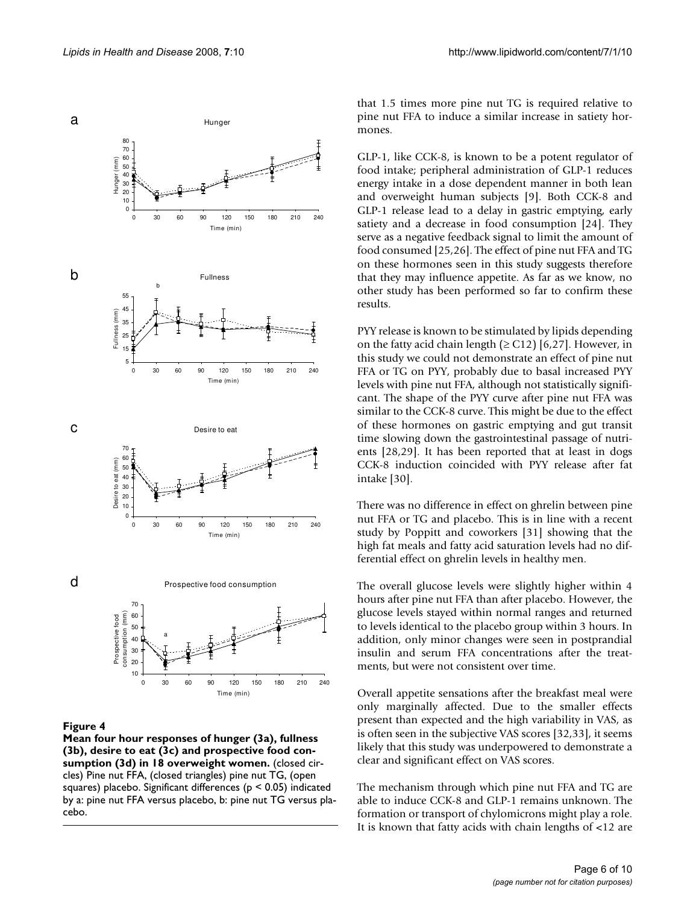

#### Figure 4

**Mean four hour responses of hunger (3a), fullness (3b), desire to eat (3c) and prospective food consumption (3d) in 18 overweight women.** (closed circles) Pine nut FFA, (closed triangles) pine nut TG, (open squares) placebo. Significant differences (p < 0.05) indicated by a: pine nut FFA versus placebo, b: pine nut TG versus placebo.

that 1.5 times more pine nut TG is required relative to pine nut FFA to induce a similar increase in satiety hormones.

GLP-1, like CCK-8, is known to be a potent regulator of food intake; peripheral administration of GLP-1 reduces energy intake in a dose dependent manner in both lean and overweight human subjects [9]. Both CCK-8 and GLP-1 release lead to a delay in gastric emptying, early satiety and a decrease in food consumption [24]. They serve as a negative feedback signal to limit the amount of food consumed [25,26]. The effect of pine nut FFA and TG on these hormones seen in this study suggests therefore that they may influence appetite. As far as we know, no other study has been performed so far to confirm these results.

PYY release is known to be stimulated by lipids depending on the fatty acid chain length ( $\geq$  C12) [6,27]. However, in this study we could not demonstrate an effect of pine nut FFA or TG on PYY, probably due to basal increased PYY levels with pine nut FFA, although not statistically significant. The shape of the PYY curve after pine nut FFA was similar to the CCK-8 curve. This might be due to the effect of these hormones on gastric emptying and gut transit time slowing down the gastrointestinal passage of nutrients [28,29]. It has been reported that at least in dogs CCK-8 induction coincided with PYY release after fat intake [30].

There was no difference in effect on ghrelin between pine nut FFA or TG and placebo. This is in line with a recent study by Poppitt and coworkers [31] showing that the high fat meals and fatty acid saturation levels had no differential effect on ghrelin levels in healthy men.

The overall glucose levels were slightly higher within 4 hours after pine nut FFA than after placebo. However, the glucose levels stayed within normal ranges and returned to levels identical to the placebo group within 3 hours. In addition, only minor changes were seen in postprandial insulin and serum FFA concentrations after the treatments, but were not consistent over time.

Overall appetite sensations after the breakfast meal were only marginally affected. Due to the smaller effects present than expected and the high variability in VAS, as is often seen in the subjective VAS scores [32,33], it seems likely that this study was underpowered to demonstrate a clear and significant effect on VAS scores.

The mechanism through which pine nut FFA and TG are able to induce CCK-8 and GLP-1 remains unknown. The formation or transport of chylomicrons might play a role. It is known that fatty acids with chain lengths of <12 are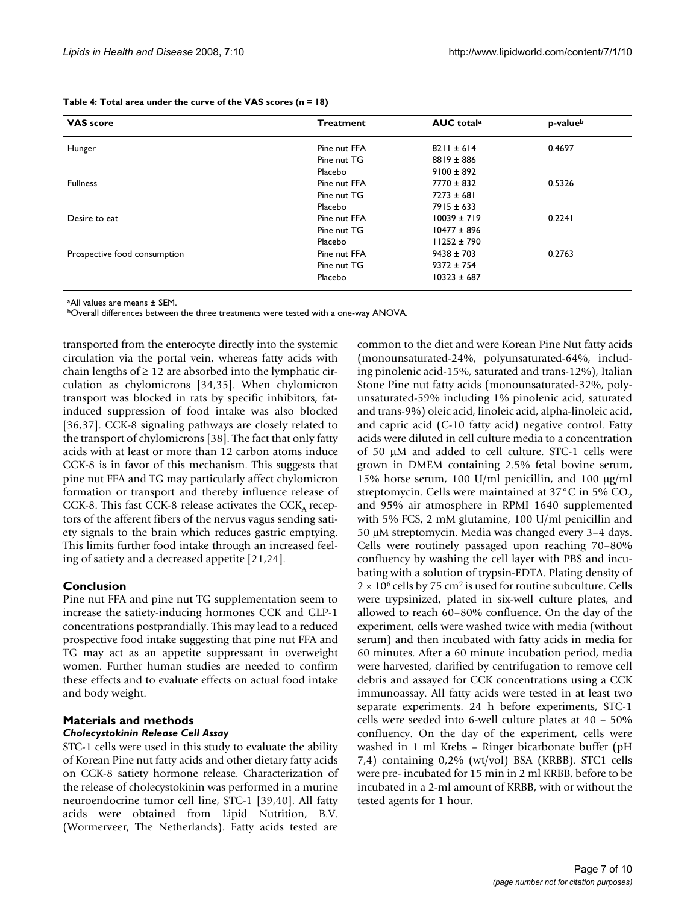| <b>VAS</b> score             | <b>Treatment</b> | AUC total <sup>a</sup> | p-valueb |
|------------------------------|------------------|------------------------|----------|
| Hunger                       | Pine nut FFA     | $8211 \pm 614$         | 0.4697   |
|                              | Pine nut TG      | $8819 \pm 886$         |          |
|                              | Placebo          | $9100 \pm 892$         |          |
| <b>Fullness</b>              | Pine nut FFA     | $7770 \pm 832$         | 0.5326   |
|                              | Pine nut TG      | $7273 \pm 681$         |          |
|                              | Placebo          | $7915 \pm 633$         |          |
| Desire to eat                | Pine nut FFA     | $10039 \pm 719$        | 0.2241   |
|                              | Pine nut TG      | $10477 \pm 896$        |          |
|                              | Placebo          | $11252 \pm 790$        |          |
| Prospective food consumption | Pine nut FFA     | $9438 \pm 703$         | 0.2763   |
|                              | Pine nut TG      | $9372 \pm 754$         |          |
|                              | Placebo          | $10323 \pm 687$        |          |

| Table 4: Total area under the curve of the VAS scores (n = 18) |  |  |  |  |  |
|----------------------------------------------------------------|--|--|--|--|--|
|----------------------------------------------------------------|--|--|--|--|--|

aAll values are means ± SEM.

bOverall differences between the three treatments were tested with a one-way ANOVA.

transported from the enterocyte directly into the systemic circulation via the portal vein, whereas fatty acids with chain lengths of  $\geq 12$  are absorbed into the lymphatic circulation as chylomicrons [34,35]. When chylomicron transport was blocked in rats by specific inhibitors, fatinduced suppression of food intake was also blocked [36,37]. CCK-8 signaling pathways are closely related to the transport of chylomicrons [38]. The fact that only fatty acids with at least or more than 12 carbon atoms induce CCK-8 is in favor of this mechanism. This suggests that pine nut FFA and TG may particularly affect chylomicron formation or transport and thereby influence release of CCK-8. This fast CCK-8 release activates the  $CCK<sub>A</sub>$  receptors of the afferent fibers of the nervus vagus sending satiety signals to the brain which reduces gastric emptying. This limits further food intake through an increased feeling of satiety and a decreased appetite [21,24].

#### **Conclusion**

Pine nut FFA and pine nut TG supplementation seem to increase the satiety-inducing hormones CCK and GLP-1 concentrations postprandially. This may lead to a reduced prospective food intake suggesting that pine nut FFA and TG may act as an appetite suppressant in overweight women. Further human studies are needed to confirm these effects and to evaluate effects on actual food intake and body weight.

# **Materials and methods** *Cholecystokinin Release Cell Assay*

STC-1 cells were used in this study to evaluate the ability of Korean Pine nut fatty acids and other dietary fatty acids on CCK-8 satiety hormone release. Characterization of the release of cholecystokinin was performed in a murine neuroendocrine tumor cell line, STC-1 [39,40]. All fatty acids were obtained from Lipid Nutrition, B.V. (Wormerveer, The Netherlands). Fatty acids tested are

common to the diet and were Korean Pine Nut fatty acids (monounsaturated-24%, polyunsaturated-64%, including pinolenic acid-15%, saturated and trans-12%), Italian Stone Pine nut fatty acids (monounsaturated-32%, polyunsaturated-59% including 1% pinolenic acid, saturated and trans-9%) oleic acid, linoleic acid, alpha-linoleic acid, and capric acid (C-10 fatty acid) negative control. Fatty acids were diluted in cell culture media to a concentration of 50 μM and added to cell culture. STC-1 cells were grown in DMEM containing 2.5% fetal bovine serum, 15% horse serum, 100 U/ml penicillin, and 100 μg/ml streptomycin. Cells were maintained at  $37^{\circ}$ C in 5% CO<sub>2</sub> and 95% air atmosphere in RPMI 1640 supplemented with 5% FCS, 2 mM glutamine, 100 U/ml penicillin and 50 μM streptomycin. Media was changed every 3–4 days. Cells were routinely passaged upon reaching 70–80% confluency by washing the cell layer with PBS and incubating with a solution of trypsin-EDTA. Plating density of  $2 \times 10^6$  cells by 75 cm<sup>2</sup> is used for routine subculture. Cells were trypsinized, plated in six-well culture plates, and allowed to reach 60–80% confluence. On the day of the experiment, cells were washed twice with media (without serum) and then incubated with fatty acids in media for 60 minutes. After a 60 minute incubation period, media were harvested, clarified by centrifugation to remove cell debris and assayed for CCK concentrations using a CCK immunoassay. All fatty acids were tested in at least two separate experiments. 24 h before experiments, STC-1 cells were seeded into 6-well culture plates at 40 – 50% confluency. On the day of the experiment, cells were washed in 1 ml Krebs – Ringer bicarbonate buffer (pH 7,4) containing 0,2% (wt/vol) BSA (KRBB). STC1 cells were pre- incubated for 15 min in 2 ml KRBB, before to be incubated in a 2-ml amount of KRBB, with or without the tested agents for 1 hour.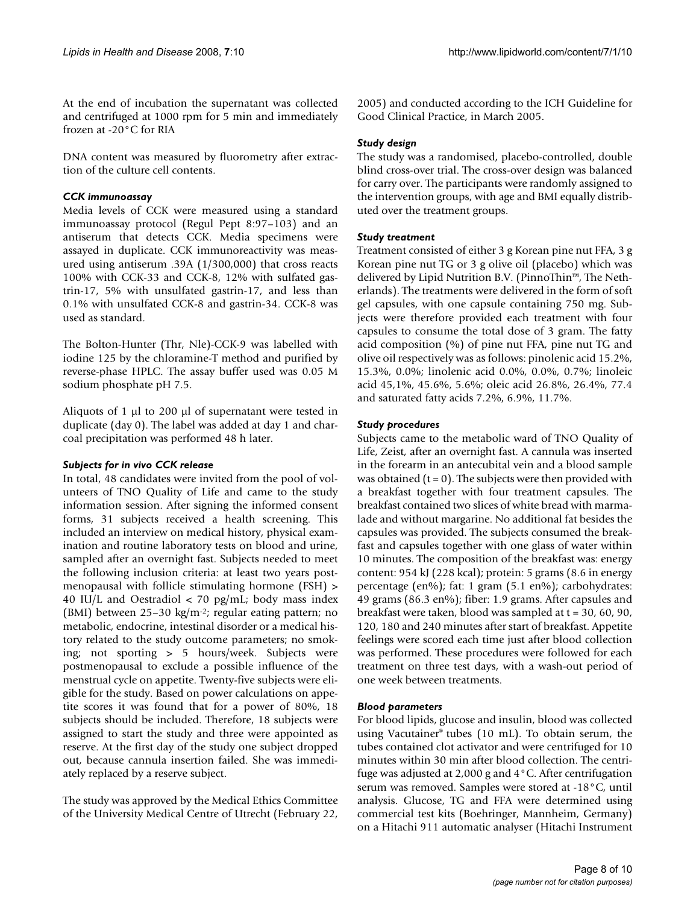At the end of incubation the supernatant was collected and centrifuged at 1000 rpm for 5 min and immediately frozen at -20°C for RIA

DNA content was measured by fluorometry after extraction of the culture cell contents.

# *CCK immunoassay*

Media levels of CCK were measured using a standard immunoassay protocol (Regul Pept 8:97–103) and an antiserum that detects CCK. Media specimens were assayed in duplicate. CCK immunoreactivity was measured using antiserum .39A (1/300,000) that cross reacts 100% with CCK-33 and CCK-8, 12% with sulfated gastrin-17, 5% with unsulfated gastrin-17, and less than 0.1% with unsulfated CCK-8 and gastrin-34. CCK-8 was used as standard.

The Bolton-Hunter (Thr, Nle)-CCK-9 was labelled with iodine 125 by the chloramine-T method and purified by reverse-phase HPLC. The assay buffer used was 0.05 M sodium phosphate pH 7.5.

Aliquots of 1 μl to 200 μl of supernatant were tested in duplicate (day 0). The label was added at day 1 and charcoal precipitation was performed 48 h later.

# *Subjects for in vivo CCK release*

In total, 48 candidates were invited from the pool of volunteers of TNO Quality of Life and came to the study information session. After signing the informed consent forms, 31 subjects received a health screening. This included an interview on medical history, physical examination and routine laboratory tests on blood and urine, sampled after an overnight fast. Subjects needed to meet the following inclusion criteria: at least two years postmenopausal with follicle stimulating hormone (FSH) > 40 IU/L and Oestradiol  $<$  70 pg/mL; body mass index (BMI) between 25–30 kg/m-2; regular eating pattern; no metabolic, endocrine, intestinal disorder or a medical history related to the study outcome parameters; no smoking; not sporting > 5 hours/week. Subjects were postmenopausal to exclude a possible influence of the menstrual cycle on appetite. Twenty-five subjects were eligible for the study. Based on power calculations on appetite scores it was found that for a power of 80%, 18 subjects should be included. Therefore, 18 subjects were assigned to start the study and three were appointed as reserve. At the first day of the study one subject dropped out, because cannula insertion failed. She was immediately replaced by a reserve subject.

The study was approved by the Medical Ethics Committee of the University Medical Centre of Utrecht (February 22,

2005) and conducted according to the ICH Guideline for Good Clinical Practice, in March 2005.

# *Study design*

The study was a randomised, placebo-controlled, double blind cross-over trial. The cross-over design was balanced for carry over. The participants were randomly assigned to the intervention groups, with age and BMI equally distributed over the treatment groups.

# *Study treatment*

Treatment consisted of either 3 g Korean pine nut FFA, 3 g Korean pine nut TG or 3 g olive oil (placebo) which was delivered by Lipid Nutrition B.V. (PinnoThin™, The Netherlands). The treatments were delivered in the form of soft gel capsules, with one capsule containing 750 mg. Subjects were therefore provided each treatment with four capsules to consume the total dose of 3 gram. The fatty acid composition (%) of pine nut FFA, pine nut TG and olive oil respectively was as follows: pinolenic acid 15.2%, 15.3%, 0.0%; linolenic acid 0.0%, 0.0%, 0.7%; linoleic acid 45,1%, 45.6%, 5.6%; oleic acid 26.8%, 26.4%, 77.4 and saturated fatty acids 7.2%, 6.9%, 11.7%.

# *Study procedures*

Subjects came to the metabolic ward of TNO Quality of Life, Zeist, after an overnight fast. A cannula was inserted in the forearm in an antecubital vein and a blood sample was obtained  $(t = 0)$ . The subjects were then provided with a breakfast together with four treatment capsules. The breakfast contained two slices of white bread with marmalade and without margarine. No additional fat besides the capsules was provided. The subjects consumed the breakfast and capsules together with one glass of water within 10 minutes. The composition of the breakfast was: energy content: 954 kJ (228 kcal); protein: 5 grams (8.6 in energy percentage (en%); fat: 1 gram (5.1 en%); carbohydrates: 49 grams (86.3 en%); fiber: 1.9 grams. After capsules and breakfast were taken, blood was sampled at t = 30, 60, 90, 120, 180 and 240 minutes after start of breakfast. Appetite feelings were scored each time just after blood collection was performed. These procedures were followed for each treatment on three test days, with a wash-out period of one week between treatments.

# *Blood parameters*

For blood lipids, glucose and insulin, blood was collected using Vacutainer® tubes (10 mL). To obtain serum, the tubes contained clot activator and were centrifuged for 10 minutes within 30 min after blood collection. The centrifuge was adjusted at 2,000 g and 4°C. After centrifugation serum was removed. Samples were stored at -18°C, until analysis. Glucose, TG and FFA were determined using commercial test kits (Boehringer, Mannheim, Germany) on a Hitachi 911 automatic analyser (Hitachi Instrument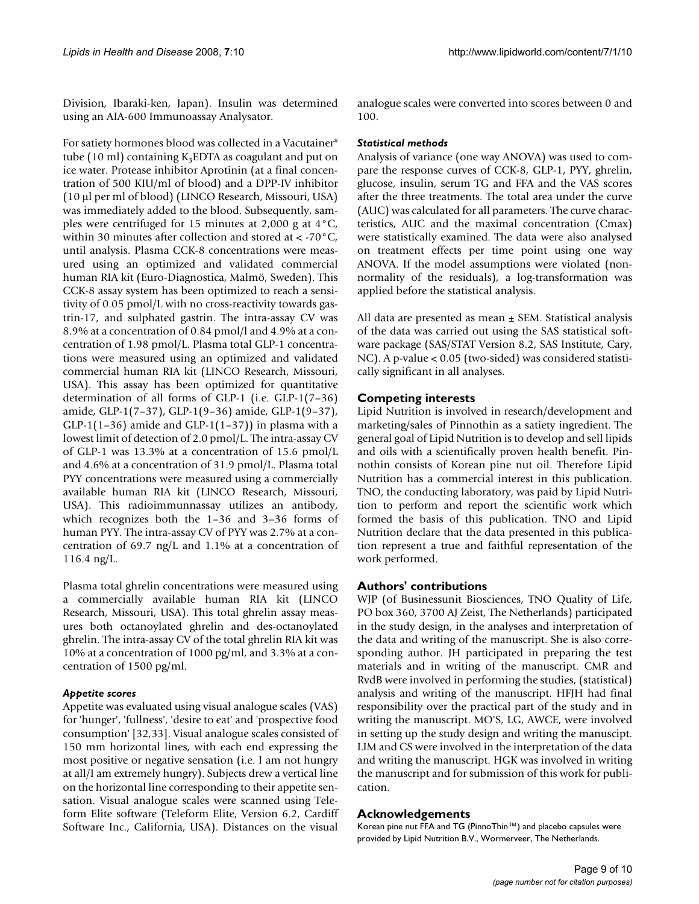Division, Ibaraki-ken, Japan). Insulin was determined using an AIA-600 Immunoassay Analysator.

For satiety hormones blood was collected in a Vacutainer® tube (10 ml) containing  $K_3EDTA$  as coagulant and put on ice water. Protease inhibitor Aprotinin (at a final concentration of 500 KIU/ml of blood) and a DPP-IV inhibitor (10 μl per ml of blood) (LINCO Research, Missouri, USA) was immediately added to the blood. Subsequently, samples were centrifuged for 15 minutes at 2,000 g at 4°C, within 30 minutes after collection and stored at  $\lt$  -70 $\degree$ C, until analysis. Plasma CCK-8 concentrations were measured using an optimized and validated commercial human RIA kit (Euro-Diagnostica, Malmö, Sweden). This CCK-8 assay system has been optimized to reach a sensitivity of 0.05 pmol/L with no cross-reactivity towards gastrin-17, and sulphated gastrin. The intra-assay CV was 8.9% at a concentration of 0.84 pmol/l and 4.9% at a concentration of 1.98 pmol/L. Plasma total GLP-1 concentrations were measured using an optimized and validated commercial human RIA kit (LINCO Research, Missouri, USA). This assay has been optimized for quantitative determination of all forms of GLP-1 (i.e. GLP-1(7–36) amide, GLP-1(7–37), GLP-1(9–36) amide, GLP-1(9–37), GLP-1(1-36) amide and GLP-1(1-37)) in plasma with a lowest limit of detection of 2.0 pmol/L. The intra-assay CV of GLP-1 was 13.3% at a concentration of 15.6 pmol/L and 4.6% at a concentration of 31.9 pmol/L. Plasma total PYY concentrations were measured using a commercially available human RIA kit (LINCO Research, Missouri, USA). This radioimmunnassay utilizes an antibody, which recognizes both the 1–36 and 3–36 forms of human PYY. The intra-assay CV of PYY was 2.7% at a concentration of 69.7 ng/L and 1.1% at a concentration of 116.4 ng/L.

Plasma total ghrelin concentrations were measured using a commercially available human RIA kit (LINCO Research, Missouri, USA). This total ghrelin assay measures both octanoylated ghrelin and des-octanoylated ghrelin. The intra-assay CV of the total ghrelin RIA kit was 10% at a concentration of 1000 pg/ml, and 3.3% at a concentration of 1500 pg/ml.

#### *Appetite scores*

Appetite was evaluated using visual analogue scales (VAS) for 'hunger', 'fullness', 'desire to eat' and 'prospective food consumption' [32,33]. Visual analogue scales consisted of 150 mm horizontal lines, with each end expressing the most positive or negative sensation (i.e. I am not hungry at all/I am extremely hungry). Subjects drew a vertical line on the horizontal line corresponding to their appetite sensation. Visual analogue scales were scanned using Teleform Elite software (Teleform Elite, Version 6.2, Cardiff Software Inc., California, USA). Distances on the visual

analogue scales were converted into scores between 0 and 100.

#### *Statistical methods*

Analysis of variance (one way ANOVA) was used to compare the response curves of CCK-8, GLP-1, PYY, ghrelin, glucose, insulin, serum TG and FFA and the VAS scores after the three treatments. The total area under the curve (AUC) was calculated for all parameters. The curve characteristics, AUC and the maximal concentration (Cmax) were statistically examined. The data were also analysed on treatment effects per time point using one way ANOVA. If the model assumptions were violated (nonnormality of the residuals), a log-transformation was applied before the statistical analysis.

All data are presented as mean  $\pm$  SEM. Statistical analysis of the data was carried out using the SAS statistical software package (SAS/STAT Version 8.2, SAS Institute, Cary, NC). A p-value < 0.05 (two-sided) was considered statistically significant in all analyses.

#### **Competing interests**

Lipid Nutrition is involved in research/development and marketing/sales of Pinnothin as a satiety ingredient. The general goal of Lipid Nutrition is to develop and sell lipids and oils with a scientifically proven health benefit. Pinnothin consists of Korean pine nut oil. Therefore Lipid Nutrition has a commercial interest in this publication. TNO, the conducting laboratory, was paid by Lipid Nutrition to perform and report the scientific work which formed the basis of this publication. TNO and Lipid Nutrition declare that the data presented in this publication represent a true and faithful representation of the work performed.

#### **Authors' contributions**

WJP (of Businessunit Biosciences, TNO Quality of Life, PO box 360, 3700 AJ Zeist, The Netherlands) participated in the study design, in the analyses and interpretation of the data and writing of the manuscript. She is also corresponding author. JH participated in preparing the test materials and in writing of the manuscript. CMR and RvdB were involved in performing the studies, (statistical) analysis and writing of the manuscript. HFJH had final responsibility over the practical part of the study and in writing the manuscript. MO'S, LG, AWCE, were involved in setting up the study design and writing the manuscipt. LIM and CS were involved in the interpretation of the data and writing the manuscript. HGK was involved in writing the manuscript and for submission of this work for publication.

#### **Acknowledgements**

Korean pine nut FFA and TG (PinnoThin™) and placebo capsules were provided by Lipid Nutrition B.V., Wormerveer, The Netherlands.